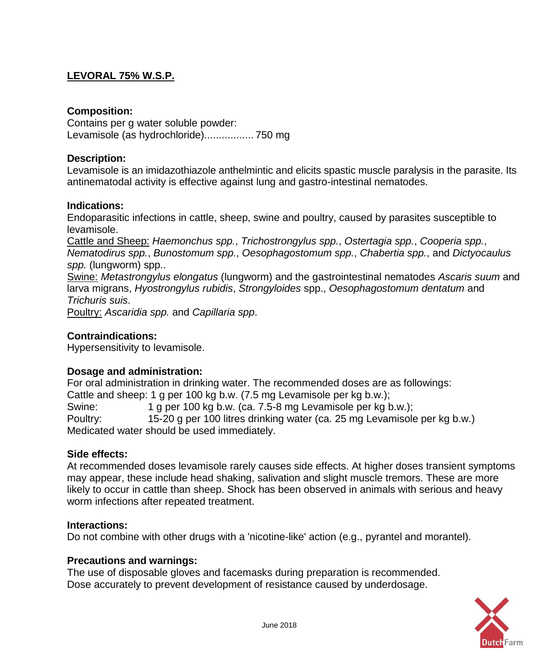# **LEVORAL 75% W.S.P.**

## **Composition:**

Contains per g water soluble powder: Levamisole (as hydrochloride)................. 750 mg

## **Description:**

Levamisole is an imidazothiazole anthelmintic and elicits spastic muscle paralysis in the parasite. Its antinematodal activity is effective against lung and gastro-intestinal nematodes.

#### **Indications:**

Endoparasitic infections in cattle, sheep, swine and poultry, caused by parasites susceptible to levamisole.

Cattle and Sheep: *Haemonchus spp.*, *Trichostrongylus spp.*, *Ostertagia spp.*, *Cooperia spp.*, *Nematodirus spp.*, *Bunostomum spp.*, *Oesophagostomum spp.*, *Chabertia spp.*, and *Dictyocaulus spp.* (lungworm) spp..

Swine: *Metastrongylus elongatus* (lungworm) and the gastrointestinal nematodes *Ascaris suum* and larva migrans, *Hyostrongylus rubidis*, *Strongyloides* spp., *Oesophagostomum dentatum* and *Trichuris suis*.

Poultry: *Ascaridia spp.* and *Capillaria spp*.

## **Contraindications:**

Hypersensitivity to levamisole.

#### **Dosage and administration:**

For oral administration in drinking water. The recommended doses are as followings: Cattle and sheep: 1 g per 100 kg b.w. (7.5 mg Levamisole per kg b.w.); Swine: 1 g per 100 kg b.w. (ca. 7.5-8 mg Levamisole per kg b.w.); Poultry: 15-20 g per 100 litres drinking water (ca. 25 mg Levamisole per kg b.w.) Medicated water should be used immediately.

#### **Side effects:**

At recommended doses levamisole rarely causes side effects. At higher doses transient symptoms may appear, these include head shaking, salivation and slight muscle tremors. These are more likely to occur in cattle than sheep. Shock has been observed in animals with serious and heavy worm infections after repeated treatment.

#### **Interactions:**

Do not combine with other drugs with a 'nicotine-like' action (e.g., pyrantel and morantel).

#### **Precautions and warnings:**

The use of disposable gloves and facemasks during preparation is recommended. Dose accurately to prevent development of resistance caused by underdosage.